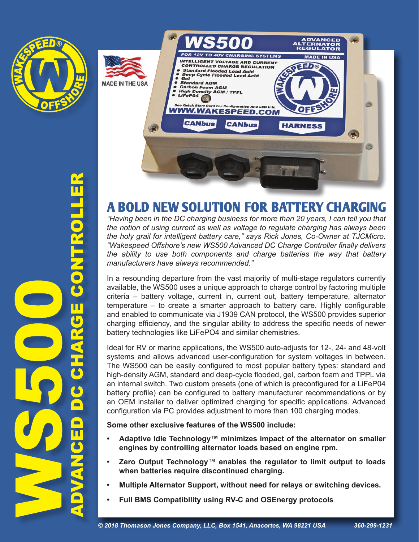



## A BOLD NEW SOLUTION FOR BATTERY CHARGING

*"Having been in the DC charging business for more than 20 years, I can tell you that the notion of using current as well as voltage to regulate charging has always been the holy grail for intelligent battery care," says Rick Jones, Co-Owner at TJCMicro. "Wakespeed Offshore's new WS500 Advanced DC Charge Controller finally delivers the ability to use both components and charge batteries the way that battery manufacturers have always recommended."*

In a resounding departure from the vast majority of multi-stage regulators currently available, the WS500 uses a unique approach to charge control by factoring multiple criteria – battery voltage, current in, current out, battery temperature, alternator temperature – to create a smarter approach to battery care. Highly configurable and enabled to communicate via J1939 CAN protocol, the WS500 provides superior charging efficiency, and the singular ability to address the specific needs of newer battery technologies like LiFePO4 and similar chemistries.

Ideal for RV or marine applications, the WS500 auto-adjusts for 12-, 24- and 48-volt systems and allows advanced user-configuration for system voltages in between. The WS500 can be easily configured to most popular battery types: standard and high-density AGM, standard and deep-cycle flooded, gel, carbon foam and TPPL via an internal switch. Two custom presets (one of which is preconfigured for a LiFeP04 battery profile) can be configured to battery manufacturer recommendations or by an OEM installer to deliver optimized charging for specific applications. Advanced configuration via PC provides adjustment to more than 100 charging modes.

**Some other exclusive features of the WS500 include:**

- **• Adaptive Idle Technology™ minimizes impact of the alternator on smaller engines by controlling alternator loads based on engine rpm.**
- **• Zero Output Technology**™ **enables the regulator to limit output to loads when batteries require discontinued charging.**
- **• Multiple Alternator Support, without need for relays or switching devices.**
- **Full BMS Compatibility using RV-C and OSEnergy protocols**

ADVANCED DC CHARGE CONTROLLER